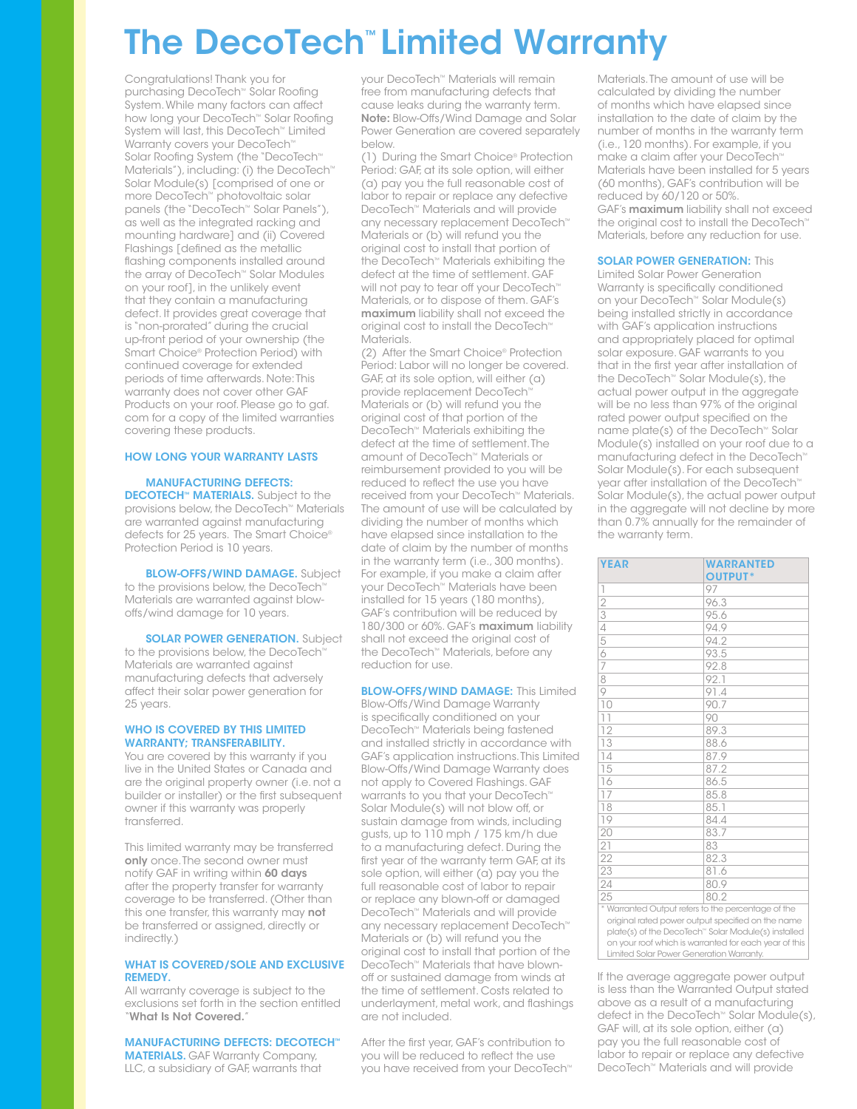# The DecoTech™ Limited Warranty

Congratulations! Thank you for purchasing DecoTech™ Solar Roofing System. While many factors can affect how long your DecoTech™ Solar Roofing System will last, this DecoTech™ Limited Warranty covers your DecoTech<sup>™</sup> Solar Roofing System (the "DecoTech™ Materials"), including: (i) the DecoTech<sup>™</sup> Solar Module(s) [comprised of one or more DecoTech™ photovoltaic solar panels (the "DecoTech™ Solar Panels"), as well as the integrated racking and mounting hardware] and (ii) Covered Flashings [defined as the metallic flashing components installed around the array of DecoTech™ Solar Modules on your roof], in the unlikely event that they contain a manufacturing defect. It provides great coverage that is "non-prorated" during the crucial up-front period of your ownership (the Smart Choice® Protection Period) with continued coverage for extended periods of time afterwards. Note: This warranty does not cover other GAF Products on your roof. Please go to gaf. com for a copy of the limited warranties covering these products.

#### HOW LONG YOUR WARRANTY LASTS

 MANUFACTURING DEFECTS: DECOTECH™ MATERIALS. Subject to the provisions below, the DecoTech™ Materials are warranted against manufacturing defects for 25 years. The Smart Choice® Protection Period is 10 years.

**BLOW-OFFS/WIND DAMAGE.** Subject to the provisions below, the DecoTech™ Materials are warranted against blowoffs/wind damage for 10 years.

**SOLAR POWER GENERATION.** Subject to the provisions below, the DecoTech™ Materials are warranted against manufacturing defects that adversely affect their solar power generation for 25 years.

#### WHO IS COVERED BY THIS LIMITED WARRANTY; TRANSFERABILITY.

You are covered by this warranty if you live in the United States or Canada and are the original property owner (i.e. not a builder or installer) or the first subsequent owner if this warranty was properly transferred.

This limited warranty may be transferred only once. The second owner must notify GAF in writing within 60 days after the property transfer for warranty coverage to be transferred. (Other than this one transfer, this warranty may not be transferred or assigned, directly or indirectly.)

#### WHAT IS COVERED/SOLE AND EXCLUSIVE REMEDY.

All warranty coverage is subject to the exclusions set forth in the section entitled "What Is Not Covered."

#### MANUFACTURING DEFECTS: DECOTECH™

MATERIALS. GAF Warranty Company, LLC, a subsidiary of GAF, warrants that

your DecoTech™ Materials will remain free from manufacturing defects that cause leaks during the warranty term. Note: Blow-Offs/Wind Damage and Solar Power Generation are covered separately below.

(1) During the Smart Choice® Protection Period: GAF, at its sole option, will either (a) pay you the full reasonable cost of labor to repair or replace any defective DecoTech™ Materials and will provide any necessary replacement DecoTech™ Materials or (b) will refund you the original cost to install that portion of the DecoTech™ Materials exhibiting the defect at the time of settlement. GAF will not pay to tear off your DecoTech<sup>™</sup> Materials, or to dispose of them. GAF's maximum liability shall not exceed the original cost to install the DecoTech™ Materials.

(2) After the Smart Choice® Protection Period: Labor will no longer be covered. GAF, at its sole option, will either (a) provide replacement DecoTech Materials or (b) will refund you the original cost of that portion of the DecoTech<sup>™</sup> Materials exhibiting the defect at the time of settlement. The amount of DecoTech™ Materials or reimbursement provided to you will be reduced to reflect the use you have received from your DecoTech™ Materials. The amount of use will be calculated by dividing the number of months which have elapsed since installation to the date of claim by the number of months in the warranty term (i.e., 300 months). For example, if you make a claim after your DecoTech™ Materials have been installed for 15 years (180 months), GAF's contribution will be reduced by 180/300 or 60%. GAF's maximum liability shall not exceed the original cost of the DecoTech™ Materials, before any reduction for use.

#### **BLOW-OFFS/WIND DAMAGE:** This Limited

Blow-Offs/Wind Damage Warranty is specifically conditioned on your DecoTech™ Materials being fastened and installed strictly in accordance with GAF's application instructions. This Limited Blow-Offs/Wind Damage Warranty does not apply to Covered Flashings. GAF warrants to you that your DecoTech<sup>™</sup> Solar Module(s) will not blow off, or sustain damage from winds, including gusts, up to 110 mph / 175 km/h due to a manufacturing defect. During the first year of the warranty term GAF, at its sole option, will either (a) pay you the full reasonable cost of labor to repair or replace any blown-off or damaged DecoTech™ Materials and will provide any necessary replacement DecoTech™ Materials or (b) will refund you the original cost to install that portion of the DecoTech™ Materials that have blownoff or sustained damage from winds at the time of settlement. Costs related to underlayment, metal work, and flashings are not included.

After the first year, GAF's contribution to you will be reduced to reflect the use you have received from your DecoTech™ Materials. The amount of use will be calculated by dividing the number of months which have elapsed since installation to the date of claim by the number of months in the warranty term (i.e., 120 months). For example, if you make a claim after your DecoTech™ Materials have been installed for 5 years (60 months), GAF's contribution will be reduced by 60/120 or 50%. GAF's maximum liability shall not exceed the original cost to install the DecoTech™ Materials, before any reduction for use.

#### **SOLAR POWER GENERATION: This**

Limited Solar Power Generation Warranty is specifically conditioned on your DecoTech™ Solar Module(s) being installed strictly in accordance with GAF's application instructions and appropriately placed for optimal solar exposure. GAF warrants to you that in the first year after installation of the DecoTech™ Solar Module(s), the actual power output in the aggregate will be no less than 97% of the original rated power output specified on the name plate(s) of the DecoTech™ Solar Module(s) installed on your roof due to a manufacturing defect in the DecoTech™ Solar Module(s). For each subsequent year after installation of the DecoTech™ Solar Module(s), the actual power output in the aggregate will not decline by more than 0.7% annually for the remainder of the warranty term.

| <b>YEAR</b>                                        | <b>WARRANTED</b><br><b>OUTPUT*</b> |
|----------------------------------------------------|------------------------------------|
| 1                                                  | 97                                 |
| $\overline{2}$                                     | 96.3                               |
| $\overline{3}$                                     | 95.6                               |
|                                                    | 94.9                               |
| $\frac{4}{5}$                                      | 94.2                               |
|                                                    |                                    |
|                                                    | 93.5                               |
| $\overline{7}$                                     | 92.8                               |
| $\overline{8}$                                     | 92.1                               |
| $\overline{9}$                                     | 91.4                               |
| $\overline{10}$                                    | 90.7                               |
| $\overline{11}$                                    | 90                                 |
| 12                                                 | 89.3                               |
| $\overline{13}$                                    | 88.6                               |
| 14                                                 | 87.9                               |
| 15                                                 | 87.2                               |
| 16                                                 | 86.5                               |
| 17                                                 | 85.8                               |
| $\overline{18}$                                    | 85.1                               |
| 19                                                 | 84.4                               |
| 20                                                 | 83.7                               |
| 21                                                 | 83                                 |
| 22                                                 | 82.3                               |
| 23                                                 | 81.6                               |
| 24                                                 | 80.9                               |
| $\overline{25}$                                    | 80.2                               |
| * Warranted Output refers to the percentage of the |                                    |

\* Warranted Output refers to the percentage of the original rated power output specified on the name plate(s) of the DecoTech™ Solar Module(s) installed on your roof which is warranted for each year of this Limited Solar Power Generation Warranty.

If the average aggregate power output is less than the Warranted Output stated above as a result of a manufacturing defect in the DecoTech™ Solar Module(s), GAF will, at its sole option, either (a) pay you the full reasonable cost of labor to repair or replace any defective DecoTech™ Materials and will provide